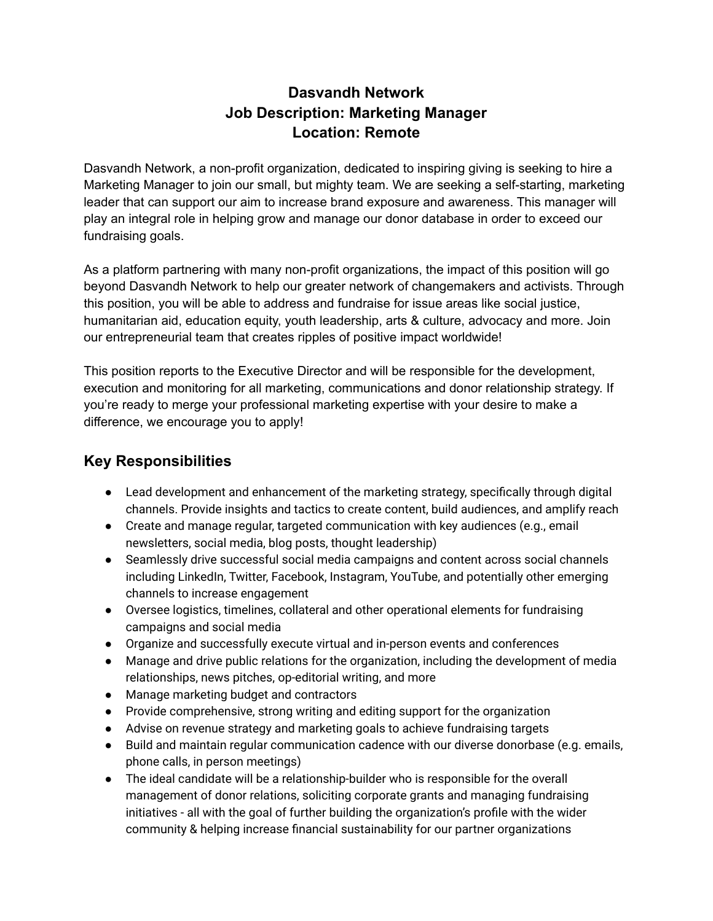# **Dasvandh Network Job Description: Marketing Manager Location: Remote**

Dasvandh Network, a non-profit organization, dedicated to inspiring giving is seeking to hire a Marketing Manager to join our small, but mighty team. We are seeking a self-starting, marketing leader that can support our aim to increase brand exposure and awareness. This manager will play an integral role in helping grow and manage our donor database in order to exceed our fundraising goals.

As a platform partnering with many non-profit organizations, the impact of this position will go beyond Dasvandh Network to help our greater network of changemakers and activists. Through this position, you will be able to address and fundraise for issue areas like social justice, humanitarian aid, education equity, youth leadership, arts & culture, advocacy and more. Join our entrepreneurial team that creates ripples of positive impact worldwide!

This position reports to the Executive Director and will be responsible for the development, execution and monitoring for all marketing, communications and donor relationship strategy. If you're ready to merge your professional marketing expertise with your desire to make a difference, we encourage you to apply!

#### **Key Responsibilities**

- Lead development and enhancement of the marketing strategy, specifically through digital channels. Provide insights and tactics to create content, build audiences, and amplify reach
- Create and manage regular, targeted communication with key audiences (e.g., email newsletters, social media, blog posts, thought leadership)
- Seamlessly drive successful social media campaigns and content across social channels including LinkedIn, Twitter, Facebook, Instagram, YouTube, and potentially other emerging channels to increase engagement
- Oversee logistics, timelines, collateral and other operational elements for fundraising campaigns and social media
- Organize and successfully execute virtual and in-person events and conferences
- Manage and drive public relations for the organization, including the development of media relationships, news pitches, op-editorial writing, and more
- Manage marketing budget and contractors
- Provide comprehensive, strong writing and editing support for the organization
- Advise on revenue strategy and marketing goals to achieve fundraising targets
- Build and maintain regular communication cadence with our diverse donorbase (e.g. emails, phone calls, in person meetings)
- The ideal candidate will be a relationship-builder who is responsible for the overall management of donor relations, soliciting corporate grants and managing fundraising initiatives - all with the goal of further building the organization's profile with the wider community & helping increase financial sustainability for our partner organizations